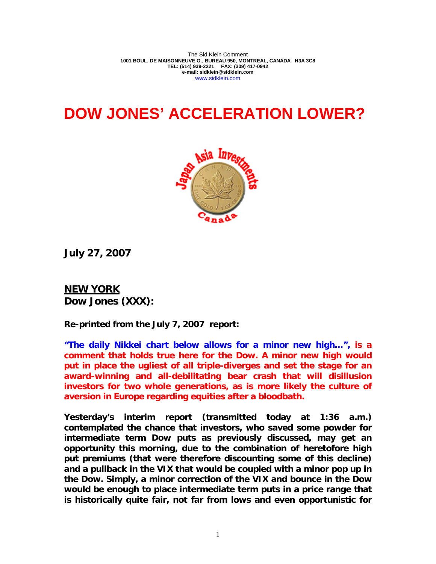The Sid Klein Comment **1001 BOUL. DE MAISONNEUVE O., BUREAU 950, MONTREAL, CANADA H3A 3C8 TEL: (514) 939-2221 FAX: (309) 417-0942 e-mail: sidklein@sidklein.com**  www.sidklein.com

## **DOW JONES' ACCELERATION LOWER?**



**July 27, 2007** 

**NEW YORK Dow Jones (XXX):** 

**Re-printed from the July 7, 2007 report:** 

**"The daily Nikkei chart below allows for a minor new high…", is a comment that holds true here for the Dow. A minor new high would put in place the ugliest of all triple-diverges and set the stage for an award-winning and all-debilitating bear crash that will disillusion investors for two whole generations, as is more likely the culture of aversion in Europe regarding equities after a bloodbath.** 

**Yesterday's interim report (transmitted today at 1:36 a.m.) contemplated the chance that investors, who saved some powder for intermediate term Dow puts as previously discussed, may get an opportunity this morning, due to the combination of heretofore high put premiums (that were therefore discounting some of this decline) and a pullback in the VIX that would be coupled with a minor pop up in the Dow. Simply, a minor correction of the VIX and bounce in the Dow would be enough to place intermediate term puts in a price range that is historically quite fair, not far from lows and even opportunistic for**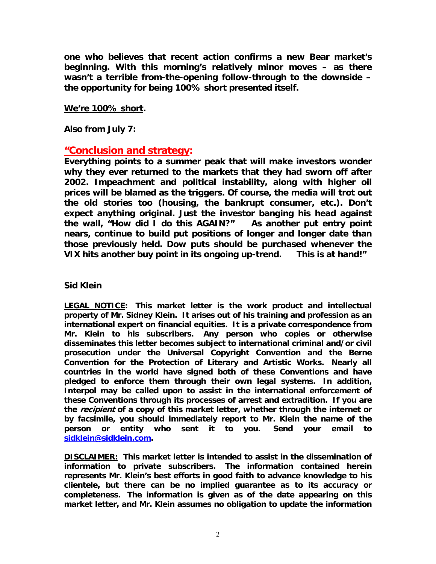**one who believes that recent action confirms a new Bear market's beginning. With this morning's relatively minor moves – as there wasn't a terrible from-the-opening follow-through to the downside – the opportunity for being 100% short presented itself.** 

## **We're 100% short.**

**Also from July 7:** 

## **"Conclusion and strategy:**

**Everything points to a summer peak that will make investors wonder why they ever returned to the markets that they had sworn off after 2002. Impeachment and political instability, along with higher oil prices will be blamed as the triggers. Of course, the media will trot out the old stories too (housing, the bankrupt consumer, etc.). Don't expect anything original. Just the investor banging his head against the wall, "How did I do this AGAIN?" As another put entry point nears, continue to build put positions of longer and longer date than those previously held. Dow puts should be purchased whenever the VIX hits another buy point in its ongoing up-trend. This is at hand!"** 

## **Sid Klein**

**LEGAL NOTICE: This market letter is the work product and intellectual property of Mr. Sidney Klein. It arises out of his training and profession as an international expert on financial equities. It is a private correspondence from Mr. Klein to his subscribers. Any person who copies or otherwise disseminates this letter becomes subject to international criminal and/or civil prosecution under the Universal Copyright Convention and the Berne Convention for the Protection of Literary and Artistic Works. Nearly all countries in the world have signed both of these Conventions and have pledged to enforce them through their own legal systems. In addition, Interpol may be called upon to assist in the international enforcement of these Conventions through its processes of arrest and extradition. If you are the recipient of a copy of this market letter, whether through the internet or by facsimile, you should immediately report to Mr. Klein the name of the person or entity who sent it to you. Send your email to sidklein@sidklein.com.** 

**DISCLAIMER: This market letter is intended to assist in the dissemination of information to private subscribers. The information contained herein represents Mr. Klein's best efforts in good faith to advance knowledge to his clientele, but there can be no implied guarantee as to its accuracy or completeness. The information is given as of the date appearing on this market letter, and Mr. Klein assumes no obligation to update the information**